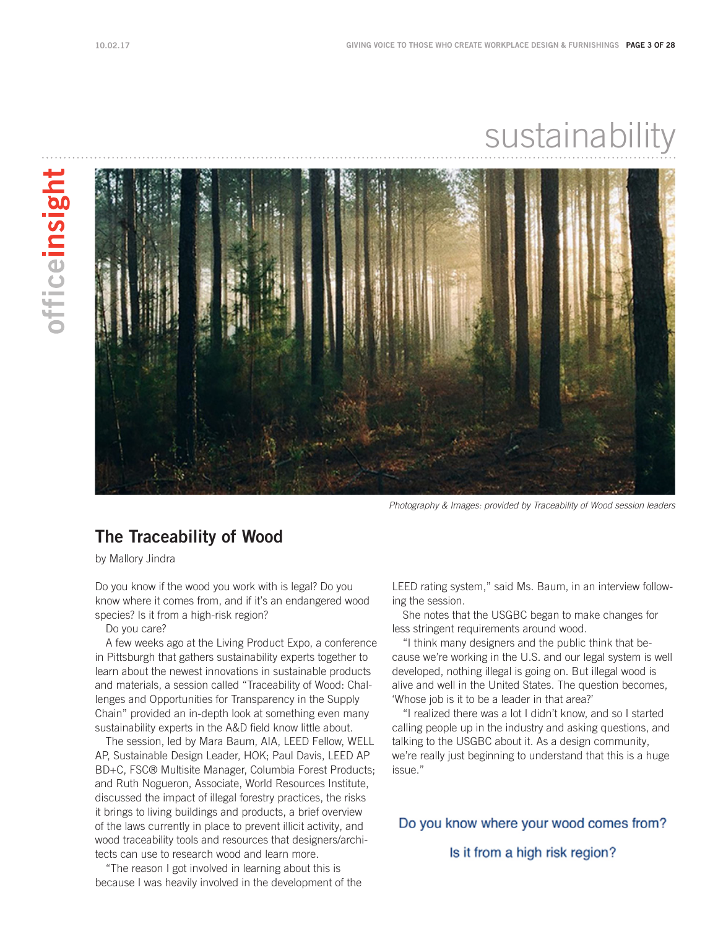# sustainability



*Photography & Images: provided by Traceability of Wood session leaders*

#### The Traceability of Wood

by Mallory Jindra

Do you know if the wood you work with is legal? Do you know where it comes from, and if it's an endangered wood species? Is it from a high-risk region?

Do you care?

A few weeks ago at the Living Product Expo, a conference in Pittsburgh that gathers sustainability experts together to learn about the newest innovations in sustainable products and materials, a session called "Traceability of Wood: Challenges and Opportunities for Transparency in the Supply Chain" provided an in-depth look at something even many sustainability experts in the A&D field know little about.

The session, led by Mara Baum, AIA, LEED Fellow, WELL AP, Sustainable Design Leader, HOK; Paul Davis, LEED AP BD+C, FSC® Multisite Manager, Columbia Forest Products; and Ruth Nogueron, Associate, World Resources Institute, discussed the impact of illegal forestry practices, the risks it brings to living buildings and products, a brief overview of the laws currently in place to prevent illicit activity, and wood traceability tools and resources that designers/architects can use to research wood and learn more.

"The reason I got involved in learning about this is because I was heavily involved in the development of the LEED rating system," said Ms. Baum, in an interview following the session.

She notes that the USGBC began to make changes for less stringent requirements around wood.

"I think many designers and the public think that because we're working in the U.S. and our legal system is well developed, nothing illegal is going on. But illegal wood is alive and well in the United States. The question becomes, 'Whose job is it to be a leader in that area?'

"I realized there was a lot I didn't know, and so I started calling people up in the industry and asking questions, and talking to the USGBC about it. As a design community, we're really just beginning to understand that this is a huge issue."

Do you know where your wood comes from?

Is it from a high risk region?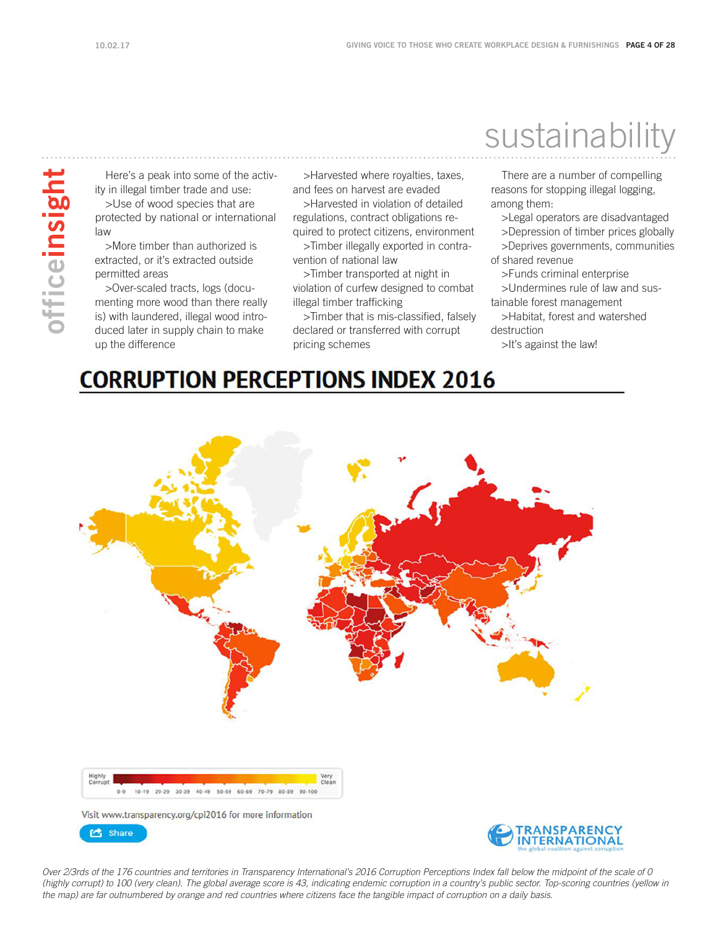officeinsight

Here's a peak into some of the activity in illegal timber trade and use:

>Use of wood species that are protected by national or international law

>More timber than authorized is extracted, or it's extracted outside permitted areas

>Over-scaled tracts, logs (documenting more wood than there really is) with laundered, illegal wood introduced later in supply chain to make up the difference

>Harvested where royalties, taxes, and fees on harvest are evaded

>Harvested in violation of detailed regulations, contract obligations re-

quired to protect citizens, environment >Timber illegally exported in contravention of national law

>Timber transported at night in violation of curfew designed to combat illegal timber trafficking

>Timber that is mis-classified, falsely declared or transferred with corrupt pricing schemes

### sustainability

There are a number of compelling reasons for stopping illegal logging, among them:

>Legal operators are disadvantaged >Depression of timber prices globally >Deprives governments, communities of shared revenue

>Funds criminal enterprise >Undermines rule of law and sustainable forest management

>Habitat, forest and watershed destruction

>It's against the law!

#### **CORRUPTION PERCEPTIONS INDEX 2016**



*Over 2/3rds of the 176 countries and territories in Transparency International's 2016 Corruption Perceptions Index fall below the midpoint of the scale of 0 (highly corrupt) to 100 (very clean). The global average score is 43, indicating endemic corruption in a country's public sector. Top-scoring countries (yellow in the map) are far outnumbered by orange and red countries where citizens face the tangible impact of corruption on a daily basis.*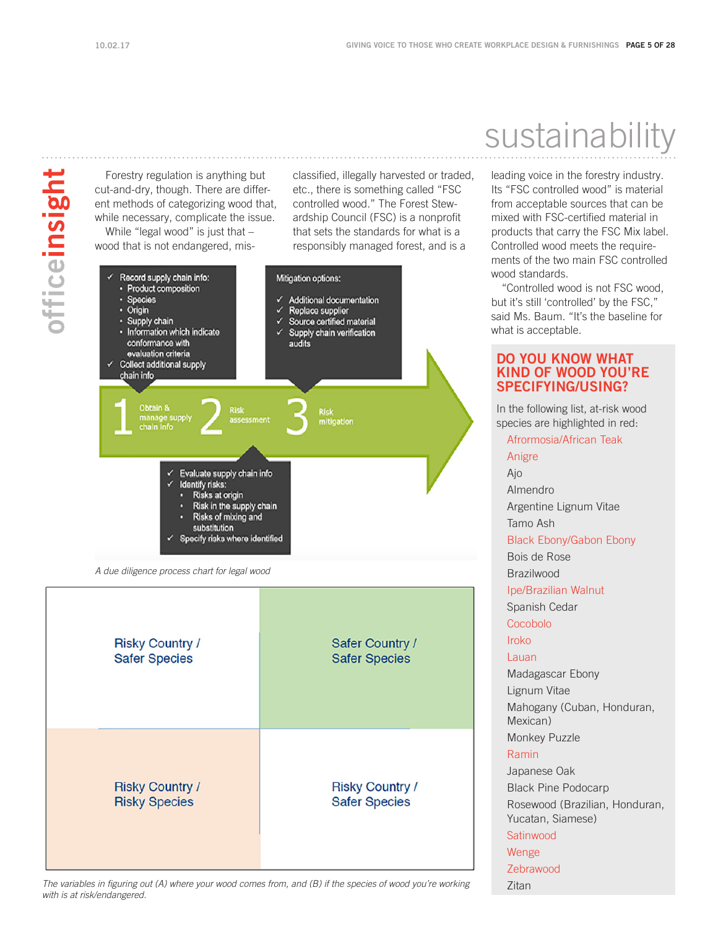officeinsight

Forestry regulation is anything but classified, illegally harvested or traded, cut-and-dry, though. There are differetc., there is something called "FSC controlled wood." The Forest Stewent methods of categorizing wood that, ardship Council (FSC) is a nonprofit while necessary, complicate the issue. While "legal wood" is just that – that sets the standards for what is a wood that is not endangered, misresponsibly managed forest, and is a Record supply chain info: Mitigation options: Product composition **Species** s. **Additional documentation** ✓ Replace supplier<br>Source certified material · Origin Ы Supply chain  $\checkmark$ · Information which indicate Supply chain verification conformance with audits evaluation criteria **Collect additional supply** chain info manage supply<br>chain info mitigation Evaluate supply chain info  $\checkmark$ Identify risks: Risks at origin Risk in the supply chain Risks of mixing and substitution  $\checkmark$  Specify risks where identified

A due diligence process chart for legal wood

| <b>Risky Country /</b> | Safer Country /        |
|------------------------|------------------------|
| <b>Safer Species</b>   | <b>Safer Species</b>   |
| <b>Risky Country /</b> | <b>Risky Country /</b> |
| <b>Risky Species</b>   | <b>Safer Species</b>   |

#### The variables in figuring out (A) where your wood comes from, and (B) if the species of wood you're working with is at risk/endangered.

# sustainability

leading voice in the forestry industry. Its "FSC controlled wood" is material from acceptable sources that can be mixed with FSC-certified material in products that carry the FSC Mix label. Controlled wood meets the requirements of the two main FSC controlled wood standards.

"Controlled wood is not FSC wood, but it's still 'controlled' by the FSC," said Ms. Baum. "It's the baseline for what is acceptable.

#### DO YOU KNOW WHAT KIND OF WOOD YOU'RE SPECIFYING/USING?

In the following list, at-risk wood species are highlighted in red: Afrormosia/African Teak Anigre Ajo Almendro Argentine Lignum Vitae Tamo Ash Black Ebony/Gabon Ebony Bois de Rose **Brazilwood** Ipe/Brazilian Walnut Spanish Cedar Cocobolo Iroko Lauan Madagascar Ebony Lignum Vitae Mahogany (Cuban, Honduran, Mexican) Monkey Puzzle Ramin Japanese Oak Black Pine Podocarp Rosewood (Brazilian, Honduran, Yucatan, Siamese) **Satinwood** Wenge Zebrawood Zitan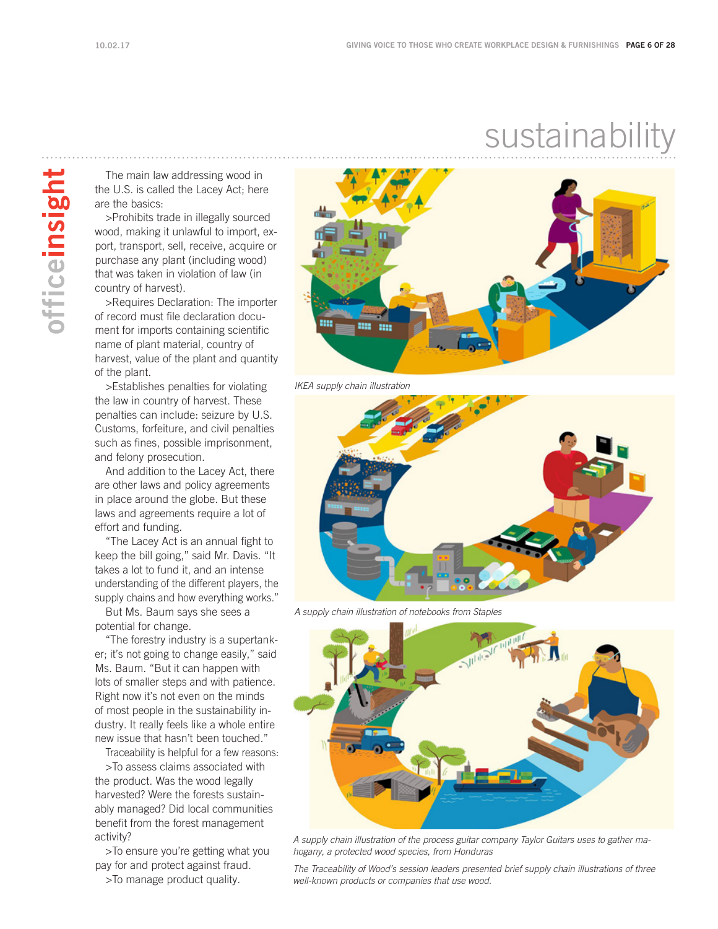officeinsight

### sustainability

The main law addressing wood in the U.S. is called the Lacey Act; here are the basics:

>Prohibits trade in illegally sourced wood, making it unlawful to import, export, transport, sell, receive, acquire or purchase any plant (including wood) that was taken in violation of law (in country of harvest).

>Requires Declaration: The importer of record must file declaration document for imports containing scientific name of plant material, country of harvest, value of the plant and quantity of the plant.

>Establishes penalties for violating the law in country of harvest. These penalties can include: seizure by U.S. Customs, forfeiture, and civil penalties such as fines, possible imprisonment, and felony prosecution.

And addition to the Lacey Act, there are other laws and policy agreements in place around the globe. But these laws and agreements require a lot of effort and funding.

"The Lacey Act is an annual fight to keep the bill going," said Mr. Davis. "It takes a lot to fund it, and an intense understanding of the different players, the supply chains and how everything works."

But Ms. Baum says she sees a potential for change.

"The forestry industry is a supertanker; it's not going to change easily," said Ms. Baum. "But it can happen with lots of smaller steps and with patience. Right now it's not even on the minds of most people in the sustainability industry. It really feels like a whole entire new issue that hasn't been touched."

Traceability is helpful for a few reasons:

>To assess claims associated with the product. Was the wood legally harvested? Were the forests sustainably managed? Did local communities benefit from the forest management activity?

>To ensure you're getting what you pay for and protect against fraud.

>To manage product quality.



IKEA supply chain illustration



A supply chain illustration of notebooks from Staples



A supply chain illustration of the process guitar company Taylor Guitars uses to gather ma*hogany, a protected wood species, from Honduras* 

*The Traceability of Wood's session leaders presented brief supply chain illustrations of three*  well-known products or companies that use wood.